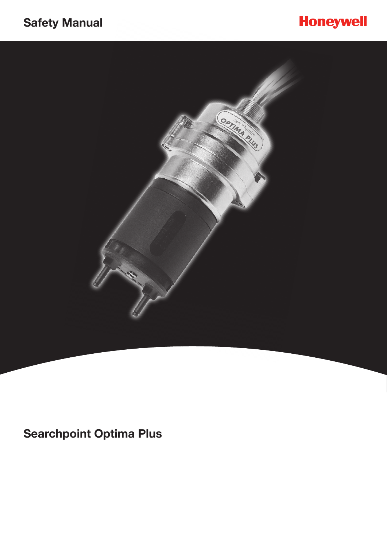## **Safety Manual**





**Searchpoint Optima Plus**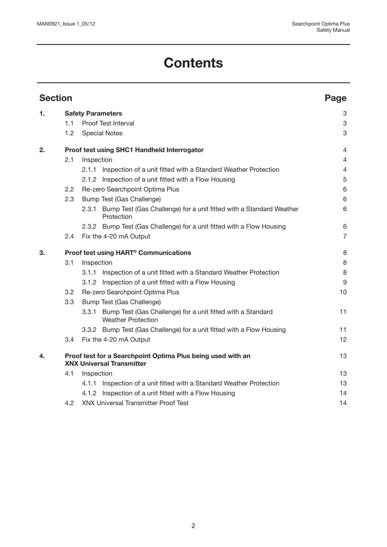# **Contents**

| <b>Section</b> |                                                                                                 |                                             |                                                                                          |                  |  |
|----------------|-------------------------------------------------------------------------------------------------|---------------------------------------------|------------------------------------------------------------------------------------------|------------------|--|
| 1.             | <b>Safety Parameters</b>                                                                        |                                             |                                                                                          |                  |  |
|                | 1.1                                                                                             |                                             | Proof Test Interval                                                                      | 3                |  |
|                | 1.2                                                                                             |                                             | <b>Special Notes</b>                                                                     | 3                |  |
| 2.             |                                                                                                 | Proof test using SHC1 Handheld Interrogator |                                                                                          |                  |  |
|                | 2.1                                                                                             | Inspection                                  |                                                                                          |                  |  |
|                |                                                                                                 |                                             | 2.1.1 Inspection of a unit fitted with a Standard Weather Protection                     | $\overline{4}$   |  |
|                |                                                                                                 |                                             | 2.1.2 Inspection of a unit fitted with a Flow Housing                                    | $\mathbf 5$      |  |
|                | 2.2                                                                                             | Re-zero Searchpoint Optima Plus             |                                                                                          |                  |  |
|                | 2.3                                                                                             |                                             | Bump Test (Gas Challenge)                                                                |                  |  |
|                |                                                                                                 | 2.3.1                                       | Bump Test (Gas Challenge) for a unit fitted with a Standard Weather<br>Protection        | 6                |  |
|                |                                                                                                 |                                             | 2.3.2 Bump Test (Gas Challenge) for a unit fitted with a Flow Housing                    | 6                |  |
|                | 2.4                                                                                             |                                             | Fix the 4-20 mA Output                                                                   | $\overline{7}$   |  |
| З.             | Proof test using HART <sup>®</sup> Communications                                               |                                             |                                                                                          |                  |  |
|                | 3.1                                                                                             | Inspection                                  |                                                                                          | 8                |  |
|                |                                                                                                 |                                             | 3.1.1 Inspection of a unit fitted with a Standard Weather Protection                     | 8                |  |
|                |                                                                                                 |                                             | 3.1.2 Inspection of a unit fitted with a Flow Housing                                    | $\boldsymbol{9}$ |  |
|                | 3.2                                                                                             | Re-zero Searchpoint Optima Plus             |                                                                                          |                  |  |
|                | 3.3                                                                                             |                                             | Bump Test (Gas Challenge)                                                                |                  |  |
|                |                                                                                                 | 3.3.1                                       | Bump Test (Gas Challenge) for a unit fitted with a Standard<br><b>Weather Protection</b> | 11               |  |
|                |                                                                                                 |                                             | 3.3.2 Bump Test (Gas Challenge) for a unit fitted with a Flow Housing                    | 11               |  |
|                | 3.4                                                                                             |                                             | Fix the 4-20 mA Output                                                                   | 12               |  |
| 4.             | Proof test for a Searchpoint Optima Plus being used with an<br><b>XNX Universal Transmitter</b> |                                             |                                                                                          |                  |  |
|                | 4.1                                                                                             | Inspection                                  |                                                                                          |                  |  |
|                |                                                                                                 |                                             | 4.1.1 Inspection of a unit fitted with a Standard Weather Protection                     | 13               |  |
|                |                                                                                                 |                                             | 4.1.2 Inspection of a unit fitted with a Flow Housing                                    | 14               |  |
|                | 4.2                                                                                             |                                             | <b>XNX Universal Transmitter Proof Test</b>                                              | 14               |  |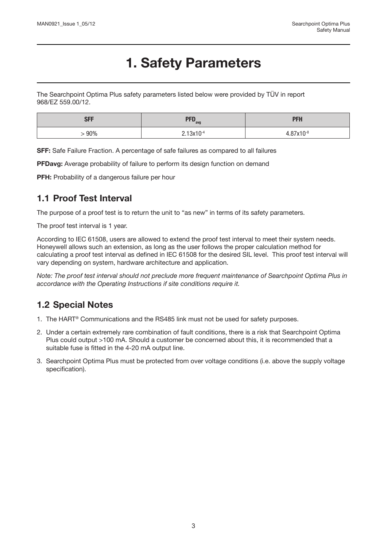## **1. Safety Parameters**

The Searchpoint Optima Plus safety parameters listed below were provided by TÜV in report 968/EZ 559.00/12.

| <b>SFF</b> | DED<br>$\mathbf{H}$ $\mathbf{H}$ $\mathbf{v}_{\text{avg}}$ | DCU<br>.    |
|------------|------------------------------------------------------------|-------------|
| 90%        | $213v10-4$                                                 | $07y + 0.8$ |

**SFF:** Safe Failure Fraction. A percentage of safe failures as compared to all failures

**PFDavg:** Average probability of failure to perform its design function on demand

PFH: Probability of a dangerous failure per hour

#### **1.1 Proof Test Interval**

The purpose of a proof test is to return the unit to "as new" in terms of its safety parameters.

The proof test interval is 1 year.

According to IEC 61508, users are allowed to extend the proof test interval to meet their system needs. Honeywell allows such an extension, as long as the user follows the proper calculation method for calculating a proof test interval as defined in IEC 61508 for the desired SIL level. This proof test interval will vary depending on system, hardware architecture and application.

*Note: The proof test interval should not preclude more frequent maintenance of Searchpoint Optima Plus in accordance with the Operating Instructions if site conditions require it.*

### **1.2 Special Notes**

- 1. The HART® Communications and the RS485 link must not be used for safety purposes.
- 2. Under a certain extremely rare combination of fault conditions, there is a risk that Searchpoint Optima Plus could output >100 mA. Should a customer be concerned about this, it is recommended that a suitable fuse is fitted in the 4-20 mA output line.
- 3. Searchpoint Optima Plus must be protected from over voltage conditions (i.e. above the supply voltage specification).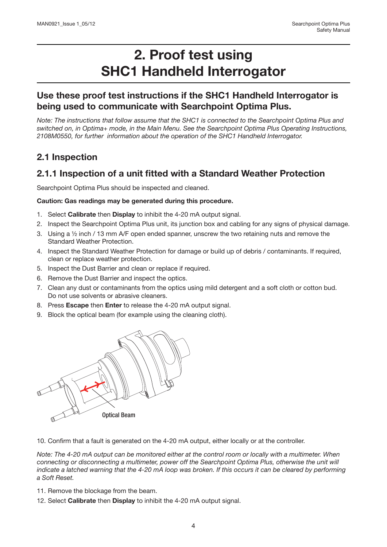### **Use these proof test instructions if the SHC1 Handheld Interrogator is being used to communicate with Searchpoint Optima Plus.**

*Note: The instructions that follow assume that the SHC1 is connected to the Searchpoint Optima Plus and switched on, in Optima+ mode, in the Main Menu. See the Searchpoint Optima Plus Operating Instructions, 2108M0550, for further information about the operation of the SHC1 Handheld Interrogator.*

### **2.1 Inspection**

### **2.1.1 Inspection of a unit fitted with a Standard Weather Protection**

Searchpoint Optima Plus should be inspected and cleaned.

#### **Caution: Gas readings may be generated during this procedure.**

- 1. Select **Calibrate** then **Display** to inhibit the 4-20 mA output signal.
- 2. Inspect the Searchpoint Optima Plus unit, its junction box and cabling for any signs of physical damage.
- 3. Using a ½ inch / 13 mm A/F open ended spanner, unscrew the two retaining nuts and remove the Standard Weather Protection.
- 4. Inspect the Standard Weather Protection for damage or build up of debris / contaminants. If required, clean or replace weather protection.
- 5. Inspect the Dust Barrier and clean or replace if required.
- 6. Remove the Dust Barrier and inspect the optics.
- 7. Clean any dust or contaminants from the optics using mild detergent and a soft cloth or cotton bud. Do not use solvents or abrasive cleaners.
- 8. Press **Escape** then **Enter** to release the 4-20 mA output signal.
- 9. Block the optical beam (for example using the cleaning cloth).



10. Confirm that a fault is generated on the 4-20 mA output, either locally or at the controller.

*Note: The 4-20 mA output can be monitored either at the control room or locally with a multimeter. When connecting or disconnecting a multimeter, power off the Searchpoint Optima Plus, otherwise the unit will indicate a latched warning that the 4-20 mA loop was broken. If this occurs it can be cleared by performing a Soft Reset.*

- 11. Remove the blockage from the beam.
- 12. Select **Calibrate** then **Display** to inhibit the 4-20 mA output signal.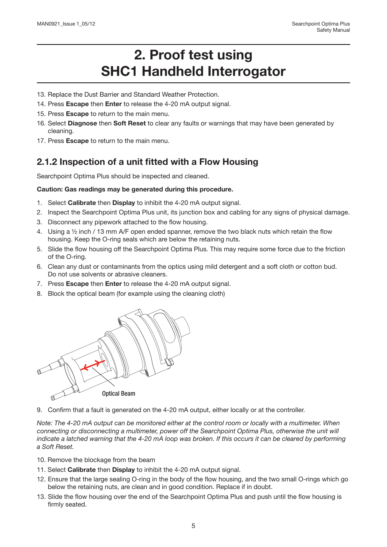- 13. Replace the Dust Barrier and Standard Weather Protection.
- 14. Press **Escape** then **Enter** to release the 4-20 mA output signal.
- 15. Press **Escape** to return to the main menu.
- 16. Select **Diagnose** then **Soft Reset** to clear any faults or warnings that may have been generated by cleaning.
- 17. Press **Escape** to return to the main menu.

### **2.1.2 Inspection of a unit fitted with a Flow Housing**

Searchpoint Optima Plus should be inspected and cleaned.

#### **Caution: Gas readings may be generated during this procedure.**

- 1. Select **Calibrate** then **Display** to inhibit the 4-20 mA output signal.
- 2. Inspect the Searchpoint Optima Plus unit, its junction box and cabling for any signs of physical damage.
- 3. Disconnect any pipework attached to the flow housing.
- 4. Using a ½ inch / 13 mm A/F open ended spanner, remove the two black nuts which retain the flow housing. Keep the O-ring seals which are below the retaining nuts.
- 5. Slide the flow housing off the Searchpoint Optima Plus. This may require some force due to the friction of the O-ring.
- 6. Clean any dust or contaminants from the optics using mild detergent and a soft cloth or cotton bud. Do not use solvents or abrasive cleaners.
- 7. Press **Escape** then **Enter** to release the 4-20 mA output signal.
- 8. Block the optical beam (for example using the cleaning cloth)



9. Confirm that a fault is generated on the 4-20 mA output, either locally or at the controller.

*Note: The 4-20 mA output can be monitored either at the control room or locally with a multimeter. When connecting or disconnecting a multimeter, power off the Searchpoint Optima Plus, otherwise the unit will indicate a latched warning that the 4-20 mA loop was broken. If this occurs it can be cleared by performing a Soft Reset.* 

- 10. Remove the blockage from the beam
- 11. Select **Calibrate** then **Display** to inhibit the 4-20 mA output signal.
- 12. Ensure that the large sealing O-ring in the body of the flow housing, and the two small O-rings which go below the retaining nuts, are clean and in good condition. Replace if in doubt.
- 13. Slide the flow housing over the end of the Searchpoint Optima Plus and push until the flow housing is firmly seated.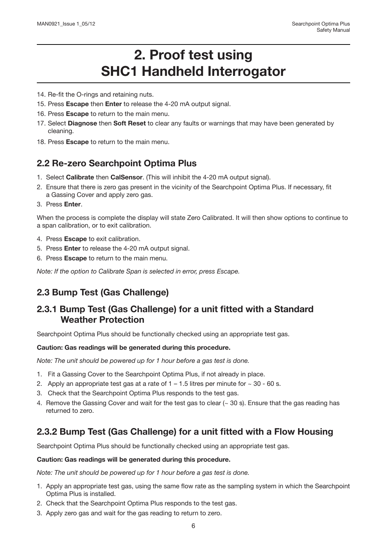- 14. Re-fit the O-rings and retaining nuts.
- 15. Press **Escape** then **Enter** to release the 4-20 mA output signal.
- 16. Press **Escape** to return to the main menu.
- 17. Select **Diagnose** then **Soft Reset** to clear any faults or warnings that may have been generated by cleaning.
- 18. Press **Escape** to return to the main menu.

#### **2.2 Re-zero Searchpoint Optima Plus**

- 1. Select **Calibrate** then **CalSensor**. (This will inhibit the 4-20 mA output signal).
- 2. Ensure that there is zero gas present in the vicinity of the Searchpoint Optima Plus. If necessary, fit a Gassing Cover and apply zero gas.
- 3. Press **Enter**.

When the process is complete the display will state Zero Calibrated. It will then show options to continue to a span calibration, or to exit calibration.

- 4. Press **Escape** to exit calibration.
- 5. Press **Enter** to release the 4-20 mA output signal.
- 6. Press **Escape** to return to the main menu.

*Note: If the option to Calibrate Span is selected in error, press Escape.*

### **2.3 Bump Test (Gas Challenge)**

#### **2.3.1 Bump Test (Gas Challenge) for a unit fitted with a Standard Weather Protection**

Searchpoint Optima Plus should be functionally checked using an appropriate test gas.

#### **Caution: Gas readings will be generated during this procedure.**

*Note: The unit should be powered up for 1 hour before a gas test is done.* 

- 1. Fit a Gassing Cover to the Searchpoint Optima Plus, if not already in place.
- 2. Apply an appropriate test gas at a rate of  $1 1.5$  litres per minute for  $\sim 30$  60 s.
- 3. Check that the Searchpoint Optima Plus responds to the test gas.
- 4. Remove the Gassing Cover and wait for the test gas to clear  $($   $\sim$  30 s). Ensure that the gas reading has returned to zero.

### **2.3.2 Bump Test (Gas Challenge) for a unit fitted with a Flow Housing**

Searchpoint Optima Plus should be functionally checked using an appropriate test gas.

#### **Caution: Gas readings will be generated during this procedure.**

*Note: The unit should be powered up for 1 hour before a gas test is done.*

- 1. Apply an appropriate test gas, using the same flow rate as the sampling system in which the Searchpoint Optima Plus is installed.
- 2. Check that the Searchpoint Optima Plus responds to the test gas.
- 3. Apply zero gas and wait for the gas reading to return to zero.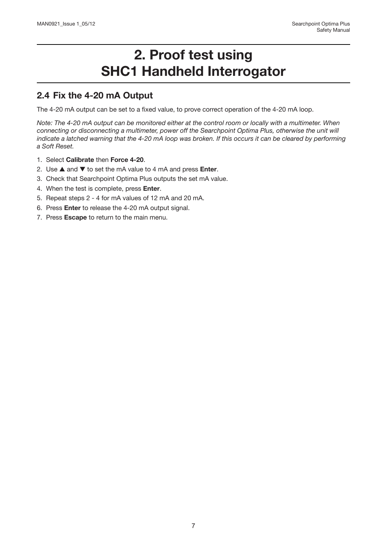#### **2.4 Fix the 4-20 mA Output**

The 4-20 mA output can be set to a fixed value, to prove correct operation of the 4-20 mA loop.

*Note: The 4-20 mA output can be monitored either at the control room or locally with a multimeter. When connecting or disconnecting a multimeter, power off the Searchpoint Optima Plus, otherwise the unit will indicate a latched warning that the 4-20 mA loop was broken. If this occurs it can be cleared by performing a Soft Reset.*

- 1. Select **Calibrate** then **Force 4-20**.
- 2. Use ▲ and ▼ to set the mA value to 4 mA and press **Enter**.
- 3. Check that Searchpoint Optima Plus outputs the set mA value.
- 4. When the test is complete, press **Enter**.
- 5. Repeat steps 2 4 for mA values of 12 mA and 20 mA.
- 6. Press **Enter** to release the 4-20 mA output signal.
- 7. Press **Escape** to return to the main menu.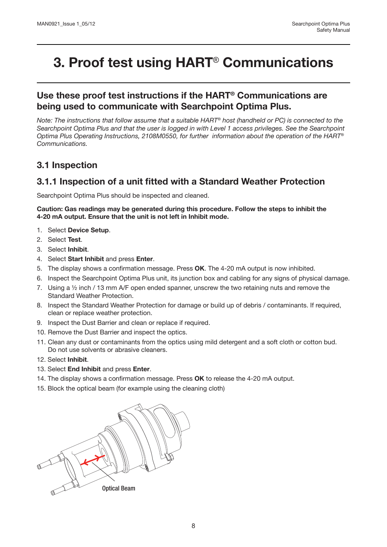#### **Use these proof test instructions if the HART® Communications are being used to communicate with Searchpoint Optima Plus.**

*Note: The instructions that follow assume that a suitable HART® host (handheld or PC) is connected to the Searchpoint Optima Plus and that the user is logged in with Level 1 access privileges. See the Searchpoint Optima Plus Operating Instructions, 2108M0550, for further information about the operation of the HART® Communications.*

#### **3.1 Inspection**

#### **3.1.1 Inspection of a unit fitted with a Standard Weather Protection**

Searchpoint Optima Plus should be inspected and cleaned.

**Caution: Gas readings may be generated during this procedure. Follow the steps to inhibit the 4-20 mA output. Ensure that the unit is not left in Inhibit mode.**

- 1. Select **Device Setup**.
- 2. Select **Test**.
- 3. Select **Inhibit**.
- 4. Select **Start Inhibit** and press **Enter**.
- 5. The display shows a confirmation message. Press **OK**. The 4-20 mA output is now inhibited.
- 6. Inspect the Searchpoint Optima Plus unit, its junction box and cabling for any signs of physical damage.
- 7. Using a  $\frac{1}{2}$  inch / 13 mm A/F open ended spanner, unscrew the two retaining nuts and remove the Standard Weather Protection.
- 8. Inspect the Standard Weather Protection for damage or build up of debris / contaminants. If required, clean or replace weather protection.
- 9. Inspect the Dust Barrier and clean or replace if required.
- 10. Remove the Dust Barrier and inspect the optics.
- 11. Clean any dust or contaminants from the optics using mild detergent and a soft cloth or cotton bud. Do not use solvents or abrasive cleaners.
- 12. Select **Inhibit**.
- 13. Select **End Inhibit** and press **Enter**.
- 14. The display shows a confirmation message. Press **OK** to release the 4-20 mA output.
- 15. Block the optical beam (for example using the cleaning cloth)

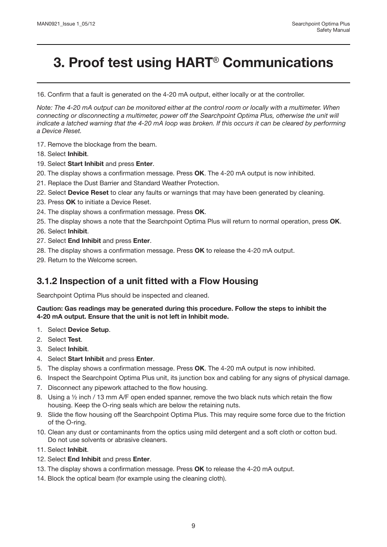16. Confirm that a fault is generated on the 4-20 mA output, either locally or at the controller.

*Note: The 4-20 mA output can be monitored either at the control room or locally with a multimeter. When connecting or disconnecting a multimeter, power off the Searchpoint Optima Plus, otherwise the unit will indicate a latched warning that the 4-20 mA loop was broken. If this occurs it can be cleared by performing a Device Reset.* 

- 17. Remove the blockage from the beam.
- 18. Select **Inhibit**.
- 19. Select **Start Inhibit** and press **Enter**.
- 20. The display shows a confirmation message. Press **OK**. The 4-20 mA output is now inhibited.
- 21. Replace the Dust Barrier and Standard Weather Protection.
- 22. Select **Device Reset** to clear any faults or warnings that may have been generated by cleaning.
- 23. Press **OK** to initiate a Device Reset.
- 24. The display shows a confirmation message. Press **OK**.
- 25. The display shows a note that the Searchpoint Optima Plus will return to normal operation, press **OK**.
- 26. Select **Inhibit**.
- 27. Select **End Inhibit** and press **Enter**.
- 28. The display shows a confirmation message. Press **OK** to release the 4-20 mA output.
- 29. Return to the Welcome screen.

#### **3.1.2 Inspection of a unit fitted with a Flow Housing**

Searchpoint Optima Plus should be inspected and cleaned.

#### **Caution: Gas readings may be generated during this procedure. Follow the steps to inhibit the 4-20 mA output. Ensure that the unit is not left in Inhibit mode.**

- 1. Select **Device Setup**.
- 2. Select **Test**.
- 3. Select **Inhibit**.
- 4. Select **Start Inhibit** and press **Enter**.
- 5. The display shows a confirmation message. Press **OK**. The 4-20 mA output is now inhibited.
- 6. Inspect the Searchpoint Optima Plus unit, its junction box and cabling for any signs of physical damage.
- 7. Disconnect any pipework attached to the flow housing.
- 8. Using a 1/2 inch / 13 mm A/F open ended spanner, remove the two black nuts which retain the flow housing. Keep the O-ring seals which are below the retaining nuts.
- 9. Slide the flow housing off the Searchpoint Optima Plus. This may require some force due to the friction of the O-ring.
- 10. Clean any dust or contaminants from the optics using mild detergent and a soft cloth or cotton bud. Do not use solvents or abrasive cleaners.
- 11. Select **Inhibit**.
- 12. Select **End Inhibit** and press **Enter**.
- 13. The display shows a confirmation message. Press **OK** to release the 4-20 mA output.
- 14. Block the optical beam (for example using the cleaning cloth).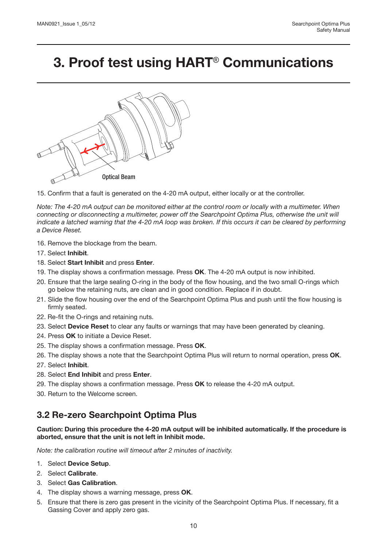

15. Confirm that a fault is generated on the 4-20 mA output, either locally or at the controller.

*Note: The 4-20 mA output can be monitored either at the control room or locally with a multimeter. When connecting or disconnecting a multimeter, power off the Searchpoint Optima Plus, otherwise the unit will indicate a latched warning that the 4-20 mA loop was broken. If this occurs it can be cleared by performing a Device Reset.* 

- 16. Remove the blockage from the beam.
- 17. Select **Inhibit**.
- 18. Select **Start Inhibit** and press **Enter**.
- 19. The display shows a confirmation message. Press **OK**. The 4-20 mA output is now inhibited.
- 20. Ensure that the large sealing O-ring in the body of the flow housing, and the two small O-rings which go below the retaining nuts, are clean and in good condition. Replace if in doubt.
- 21. Slide the flow housing over the end of the Searchpoint Optima Plus and push until the flow housing is firmly seated.
- 22. Re-fit the O-rings and retaining nuts.
- 23. Select **Device Reset** to clear any faults or warnings that may have been generated by cleaning.
- 24. Press **OK** to initiate a Device Reset.
- 25. The display shows a confirmation message. Press **OK**.
- 26. The display shows a note that the Searchpoint Optima Plus will return to normal operation, press **OK**.
- 27. Select **Inhibit**.
- 28. Select **End Inhibit** and press **Enter**.
- 29. The display shows a confirmation message. Press **OK** to release the 4-20 mA output.
- 30. Return to the Welcome screen.

#### **3.2 Re-zero Searchpoint Optima Plus**

**Caution: During this procedure the 4-20 mA output will be inhibited automatically. If the procedure is aborted, ensure that the unit is not left in Inhibit mode.**

*Note: the calibration routine will timeout after 2 minutes of inactivity.*

- 1. Select **Device Setup**.
- 2. Select **Calibrate**.
- 3. Select **Gas Calibration**.
- 4. The display shows a warning message, press **OK**.
- 5. Ensure that there is zero gas present in the vicinity of the Searchpoint Optima Plus. If necessary, fit a Gassing Cover and apply zero gas.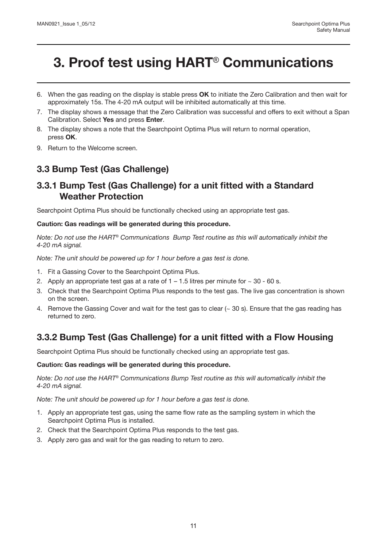- 6. When the gas reading on the display is stable press **OK** to initiate the Zero Calibration and then wait for approximately 15s. The 4-20 mA output will be inhibited automatically at this time.
- 7. The display shows a message that the Zero Calibration was successful and offers to exit without a Span Calibration. Select **Yes** and press **Enter**.
- 8. The display shows a note that the Searchpoint Optima Plus will return to normal operation, press **OK**.
- 9. Return to the Welcome screen.

### **3.3 Bump Test (Gas Challenge)**

#### **3.3.1 Bump Test (Gas Challenge) for a unit fitted with a Standard Weather Protection**

Searchpoint Optima Plus should be functionally checked using an appropriate test gas.

#### **Caution: Gas readings will be generated during this procedure.**

*Note: Do not use the HART*® *Communications Bump Test routine as this will automatically inhibit the 4-20 mA signal.*

*Note: The unit should be powered up for 1 hour before a gas test is done.*

- 1. Fit a Gassing Cover to the Searchpoint Optima Plus.
- 2. Apply an appropriate test gas at a rate of  $1 1.5$  litres per minute for  $\sim 30$  60 s.
- 3. Check that the Searchpoint Optima Plus responds to the test gas. The live gas concentration is shown on the screen.
- 4. Remove the Gassing Cover and wait for the test gas to clear (~ 30 s). Ensure that the gas reading has returned to zero.

### **3.3.2 Bump Test (Gas Challenge) for a unit fitted with a Flow Housing**

Searchpoint Optima Plus should be functionally checked using an appropriate test gas.

#### **Caution: Gas readings will be generated during this procedure.**

*Note: Do not use the HART*® *Communications Bump Test routine as this will automatically inhibit the 4-20 mA signal.*

*Note: The unit should be powered up for 1 hour before a gas test is done.*

- 1. Apply an appropriate test gas, using the same flow rate as the sampling system in which the Searchpoint Optima Plus is installed.
- 2. Check that the Searchpoint Optima Plus responds to the test gas.
- 3. Apply zero gas and wait for the gas reading to return to zero.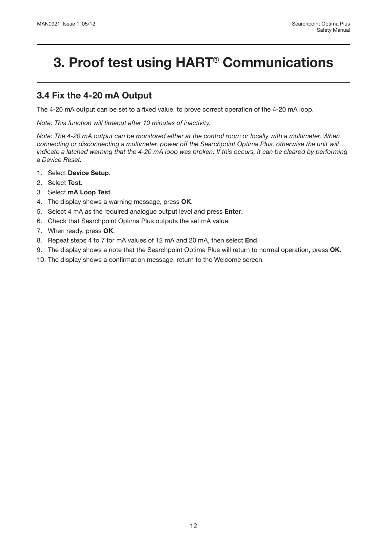### **3.4 Fix the 4-20 mA Output**

The 4-20 mA output can be set to a fixed value, to prove correct operation of the 4-20 mA loop.

*Note: This function will timeout after 10 minutes of inactivity.*

*Note: The 4-20 mA output can be monitored either at the control room or locally with a multimeter. When connecting or disconnecting a multimeter, power off the Searchpoint Optima Plus, otherwise the unit will indicate a latched warning that the 4-20 mA loop was broken. If this occurs, it can be cleared by performing a Device Reset.*

- 1. Select **Device Setup**.
- 2. Select **Test**.
- 3. Select **mA Loop Test**.
- 4. The display shows a warning message, press **OK**.
- 5. Select 4 mA as the required analogue output level and press **Enter**.
- 6. Check that Searchpoint Optima Plus outputs the set mA value.
- 7. When ready, press **OK**.
- 8. Repeat steps 4 to 7 for mA values of 12 mA and 20 mA, then select **End**.
- 9. The display shows a note that the Searchpoint Optima Plus will return to normal operation, press **OK**.
- 10. The display shows a confirmation message, return to the Welcome screen.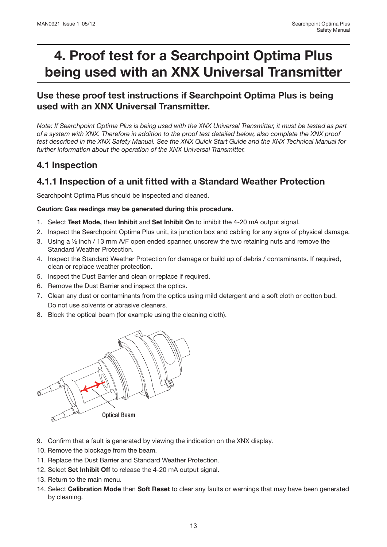# **4. Proof test for a Searchpoint Optima Plus being used with an XNX Universal Transmitter**

### **Use these proof test instructions if Searchpoint Optima Plus is being used with an XNX Universal Transmitter.**

*Note: If Searchpoint Optima Plus is being used with the XNX Universal Transmitter, it must be tested as part of a system with XNX. Therefore in addition to the proof test detailed below, also complete the XNX proof test described in the XNX Safety Manual. See the XNX Quick Start Guide and the XNX Technical Manual for further information about the operation of the XNX Universal Transmitter.*

### **4.1 Inspection**

### **4.1.1 Inspection of a unit fitted with a Standard Weather Protection**

Searchpoint Optima Plus should be inspected and cleaned.

#### **Caution: Gas readings may be generated during this procedure.**

- 1. Select **Test Mode,** then **Inhibit** and **Set Inhibit On** to inhibit the 4-20 mA output signal.
- 2. Inspect the Searchpoint Optima Plus unit, its junction box and cabling for any signs of physical damage.
- 3. Using a ½ inch / 13 mm A/F open ended spanner, unscrew the two retaining nuts and remove the Standard Weather Protection.
- 4. Inspect the Standard Weather Protection for damage or build up of debris / contaminants. If required, clean or replace weather protection.
- 5. Inspect the Dust Barrier and clean or replace if required.
- 6. Remove the Dust Barrier and inspect the optics.
- 7. Clean any dust or contaminants from the optics using mild detergent and a soft cloth or cotton bud. Do not use solvents or abrasive cleaners.
- 8. Block the optical beam (for example using the cleaning cloth).



- 9. Confirm that a fault is generated by viewing the indication on the XNX display.
- 10. Remove the blockage from the beam.
- 11. Replace the Dust Barrier and Standard Weather Protection.
- 12. Select **Set Inhibit Off** to release the 4-20 mA output signal.
- 13. Return to the main menu.
- 14. Select **Calibration Mode** then **Soft Reset** to clear any faults or warnings that may have been generated by cleaning.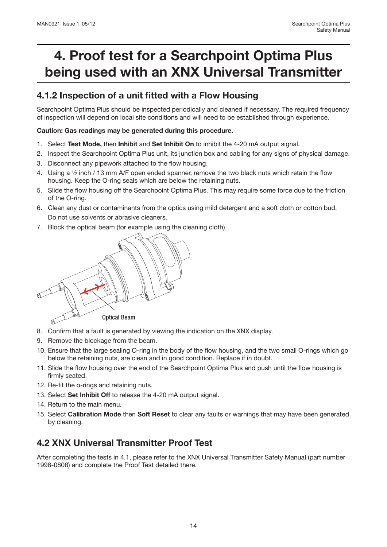# **4. Proof test for a Searchpoint Optima Plus being used with an XNX Universal Transmitter**

### **4.1.2 Inspection of a unit fitted with a Flow Housing**

Searchpoint Optima Plus should be inspected periodically and cleaned if necessary. The required frequency of inspection will depend on local site conditions and will need to be established through experience.

#### **Caution: Gas readings may be generated during this procedure.**

- 1. Select **Test Mode,** then **Inhibit** and **Set Inhibit On** to inhibit the 4-20 mA output signal.
- 2. Inspect the Searchpoint Optima Plus unit, its junction box and cabling for any signs of physical damage.
- 3. Disconnect any pipework attached to the flow housing.
- 4. Using a ½ inch / 13 mm A/F open ended spanner, remove the two black nuts which retain the flow housing. Keep the O-ring seals which are below the retaining nuts.
- 5. Slide the flow housing off the Searchpoint Optima Plus. This may require some force due to the friction of the O-ring.
- 6. Clean any dust or contaminants from the optics using mild detergent and a soft cloth or cotton bud. Do not use solvents or abrasive cleaners.
- 7. Block the optical beam (for example using the cleaning cloth).



- 8. Confirm that a fault is generated by viewing the indication on the XNX display.
- 9. Remove the blockage from the beam.
- 10. Ensure that the large sealing O-ring in the body of the flow housing, and the two small O-rings which go below the retaining nuts, are clean and in good condition. Replace if in doubt.
- 11. Slide the flow housing over the end of the Searchpoint Optima Plus and push until the flow housing is firmly seated.
- 12. Re-fit the o-rings and retaining nuts.
- 13. Select **Set Inhibit Off** to release the 4-20 mA output signal.
- 14. Return to the main menu.
- 15. Select **Calibration Mode** then **Soft Reset** to clear any faults or warnings that may have been generated by cleaning.

### **4.2 XNX Universal Transmitter Proof Test**

After completing the tests in 4.1, please refer to the XNX Universal Transmitter Safety Manual (part number 1998-0808) and complete the Proof Test detailed there.